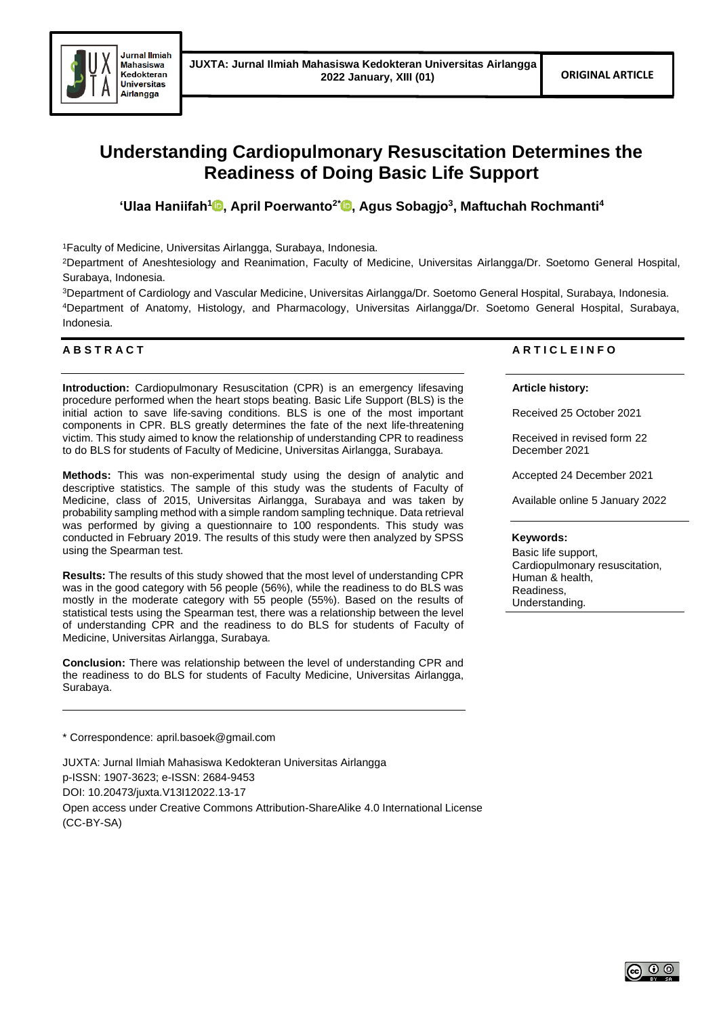

# **Understanding Cardiopulmonary Resuscitation Determines the Readiness of Doing Basic Life Support**

**'Ulaa Haniifah[1](https://orcid.org/0000-0001-8515-5383) , April Poerwanto2\* [,](https://orcid.org/0000-0002-1232-0779) Agus Sobagjo<sup>3</sup> , Maftuchah Rochmanti<sup>4</sup>**

<sup>1</sup>Faculty of Medicine, Universitas Airlangga, Surabaya, Indonesia.

<sup>2</sup>Department of Aneshtesiology and Reanimation, Faculty of Medicine, Universitas Airlangga/Dr. Soetomo General Hospital, Surabaya, Indonesia.

<sup>3</sup>Department of Cardiology and Vascular Medicine, Universitas Airlangga/Dr. Soetomo General Hospital, Surabaya, Indonesia. <sup>4</sup>Department of Anatomy, Histology, and Pharmacology, Universitas Airlangga/Dr. Soetomo General Hospital, Surabaya, Indonesia.

# **A B S T R A C T**

**Introduction:** Cardiopulmonary Resuscitation (CPR) is an emergency lifesaving procedure performed when the heart stops beating. Basic Life Support (BLS) is the initial action to save life-saving conditions. BLS is one of the most important components in CPR. BLS greatly determines the fate of the next life-threatening victim. This study aimed to know the relationship of understanding CPR to readiness to do BLS for students of Faculty of Medicine, Universitas Airlangga, Surabaya.

**Methods:** This was non-experimental study using the design of analytic and descriptive statistics. The sample of this study was the students of Faculty of Medicine, class of 2015, Universitas Airlangga, Surabaya and was taken by probability sampling method with a simple random sampling technique. Data retrieval was performed by giving a questionnaire to 100 respondents. This study was conducted in February 2019. The results of this study were then analyzed by SPSS using the Spearman test.

**Results:** The results of this study showed that the most level of understanding CPR was in the good category with 56 people (56%), while the readiness to do BLS was mostly in the moderate category with 55 people (55%). Based on the results of statistical tests using the Spearman test, there was a relationship between the level of understanding CPR and the readiness to do BLS for students of Faculty of Medicine, Universitas Airlangga, Surabaya.

**Conclusion:** There was relationship between the level of understanding CPR and the readiness to do BLS for students of Faculty Medicine, Universitas Airlangga, Surabaya.

\* Correspondence: april.basoek@gmail.com

JUXTA: Jurnal Ilmiah Mahasiswa Kedokteran Universitas Airlangga p-ISSN: 1907-3623; e-ISSN: 2684-9453 DOI: 10.20473/juxta.V13I12022.13-17 Open access under Creative Commons Attribution-ShareAlike 4.0 International License (CC-BY-SA)

# **A R T I C L E I N F O**

## **Article history:**

Received 25 October 2021

Received in revised form 22 December 2021

Accepted 24 December 2021

Available online 5 January 2022

## **Keywords:**

Basic life support, Cardiopulmonary resuscitation, Human & health, Readiness, Understanding.

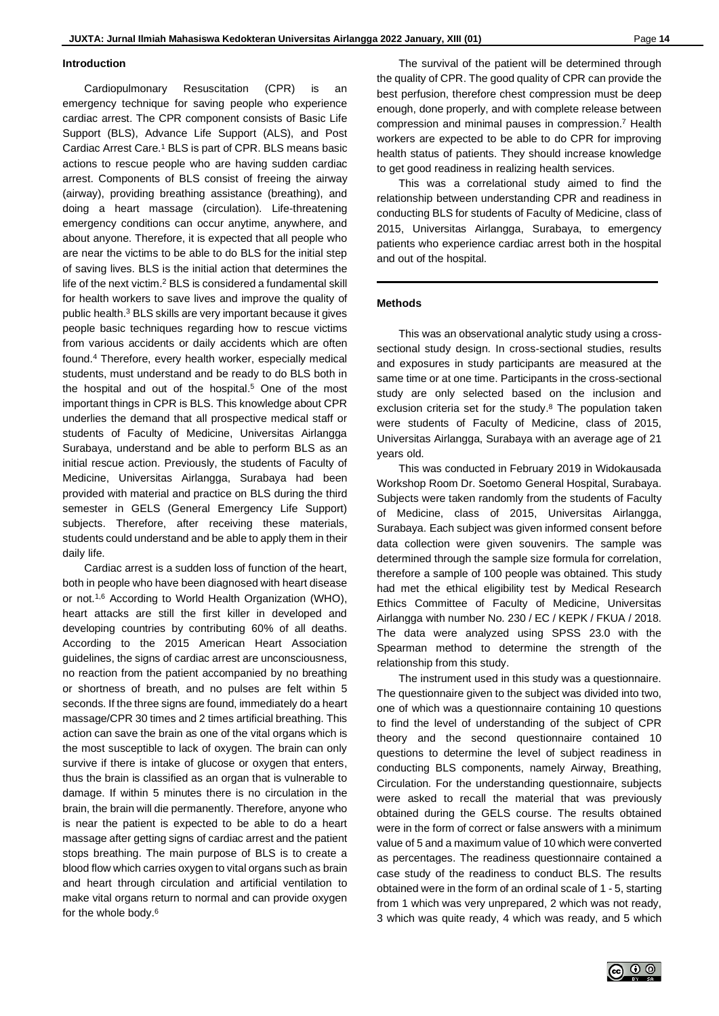#### **Introduction**

Cardiopulmonary Resuscitation (CPR) is an emergency technique for saving people who experience cardiac arrest. The CPR component consists of Basic Life Support (BLS), Advance Life Support (ALS), and Post Cardiac Arrest Care. <sup>1</sup> BLS is part of CPR. BLS means basic actions to rescue people who are having sudden cardiac arrest. Components of BLS consist of freeing the airway (airway), providing breathing assistance (breathing), and doing a heart massage (circulation). Life-threatening emergency conditions can occur anytime, anywhere, and about anyone. Therefore, it is expected that all people who are near the victims to be able to do BLS for the initial step of saving lives. BLS is the initial action that determines the life of the next victim. <sup>2</sup> BLS is considered a fundamental skill for health workers to save lives and improve the quality of public health. <sup>3</sup> BLS skills are very important because it gives people basic techniques regarding how to rescue victims from various accidents or daily accidents which are often found. <sup>4</sup> Therefore, every health worker, especially medical students, must understand and be ready to do BLS both in the hospital and out of the hospital. <sup>5</sup> One of the most important things in CPR is BLS. This knowledge about CPR underlies the demand that all prospective medical staff or students of Faculty of Medicine, Universitas Airlangga Surabaya, understand and be able to perform BLS as an initial rescue action. Previously, the students of Faculty of Medicine, Universitas Airlangga, Surabaya had been provided with material and practice on BLS during the third semester in GELS (General Emergency Life Support) subjects. Therefore, after receiving these materials, students could understand and be able to apply them in their daily life.

Cardiac arrest is a sudden loss of function of the heart, both in people who have been diagnosed with heart disease or not. 1,6 According to World Health Organization (WHO), heart attacks are still the first killer in developed and developing countries by contributing 60% of all deaths. According to the 2015 American Heart Association guidelines, the signs of cardiac arrest are unconsciousness, no reaction from the patient accompanied by no breathing or shortness of breath, and no pulses are felt within 5 seconds. If the three signs are found, immediately do a heart massage/CPR 30 times and 2 times artificial breathing. This action can save the brain as one of the vital organs which is the most susceptible to lack of oxygen. The brain can only survive if there is intake of glucose or oxygen that enters, thus the brain is classified as an organ that is vulnerable to damage. If within 5 minutes there is no circulation in the brain, the brain will die permanently. Therefore, anyone who is near the patient is expected to be able to do a heart massage after getting signs of cardiac arrest and the patient stops breathing. The main purpose of BLS is to create a blood flow which carries oxygen to vital organs such as brain and heart through circulation and artificial ventilation to make vital organs return to normal and can provide oxygen for the whole body. 6

The survival of the patient will be determined through the quality of CPR. The good quality of CPR can provide the best perfusion, therefore chest compression must be deep enough, done properly, and with complete release between compression and minimal pauses in compression. <sup>7</sup> Health workers are expected to be able to do CPR for improving health status of patients. They should increase knowledge to get good readiness in realizing health services.

This was a correlational study aimed to find the relationship between understanding CPR and readiness in conducting BLS for students of Faculty of Medicine, class of 2015, Universitas Airlangga, Surabaya, to emergency patients who experience cardiac arrest both in the hospital and out of the hospital.

## **Methods**

This was an observational analytic study using a crosssectional study design. In cross-sectional studies, results and exposures in study participants are measured at the same time or at one time. Participants in the cross-sectional study are only selected based on the inclusion and exclusion criteria set for the study. <sup>8</sup> The population taken were students of Faculty of Medicine, class of 2015, Universitas Airlangga, Surabaya with an average age of 21 years old.

This was conducted in February 2019 in Widokausada Workshop Room Dr. Soetomo General Hospital, Surabaya. Subjects were taken randomly from the students of Faculty of Medicine, class of 2015, Universitas Airlangga, Surabaya. Each subject was given informed consent before data collection were given souvenirs. The sample was determined through the sample size formula for correlation, therefore a sample of 100 people was obtained. This study had met the ethical eligibility test by Medical Research Ethics Committee of Faculty of Medicine, Universitas Airlangga with number No. 230 / EC / KEPK / FKUA / 2018. The data were analyzed using SPSS 23.0 with the Spearman method to determine the strength of the relationship from this study.

The instrument used in this study was a questionnaire. The questionnaire given to the subject was divided into two, one of which was a questionnaire containing 10 questions to find the level of understanding of the subject of CPR theory and the second questionnaire contained 10 questions to determine the level of subject readiness in conducting BLS components, namely Airway, Breathing, Circulation. For the understanding questionnaire, subjects were asked to recall the material that was previously obtained during the GELS course. The results obtained were in the form of correct or false answers with a minimum value of 5 and a maximum value of 10 which were converted as percentages. The readiness questionnaire contained a case study of the readiness to conduct BLS. The results obtained were in the form of an ordinal scale of 1 - 5, starting from 1 which was very unprepared, 2 which was not ready, 3 which was quite ready, 4 which was ready, and 5 which

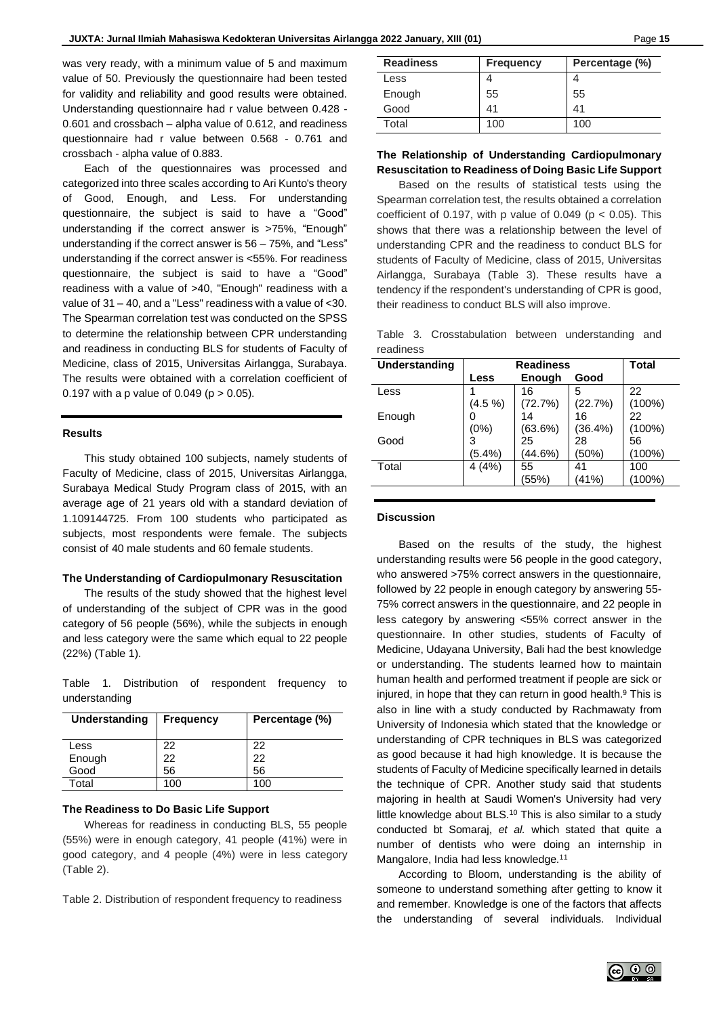was very ready, with a minimum value of 5 and maximum value of 50. Previously the questionnaire had been tested for validity and reliability and good results were obtained. Understanding questionnaire had r value between 0.428 - 0.601 and crossbach – alpha value of 0.612, and readiness questionnaire had r value between 0.568 - 0.761 and crossbach - alpha value of 0.883.

Each of the questionnaires was processed and categorized into three scales according to Ari Kunto's theory of Good, Enough, and Less. For understanding questionnaire, the subject is said to have a "Good" understanding if the correct answer is >75%, "Enough" understanding if the correct answer is 56 – 75%, and "Less" understanding if the correct answer is <55%. For readiness questionnaire, the subject is said to have a "Good" readiness with a value of >40, "Enough" readiness with a value of 31 – 40, and a "Less" readiness with a value of <30. The Spearman correlation test was conducted on the SPSS to determine the relationship between CPR understanding and readiness in conducting BLS for students of Faculty of Medicine, class of 2015, Universitas Airlangga, Surabaya. The results were obtained with a correlation coefficient of 0.197 with a p value of 0.049 ( $p > 0.05$ ).

## **Results**

This study obtained 100 subjects, namely students of Faculty of Medicine, class of 2015, Universitas Airlangga, Surabaya Medical Study Program class of 2015, with an average age of 21 years old with a standard deviation of 1.109144725. From 100 students who participated as subjects, most respondents were female. The subjects consist of 40 male students and 60 female students.

#### **The Understanding of Cardiopulmonary Resuscitation**

The results of the study showed that the highest level of understanding of the subject of CPR was in the good category of 56 people (56%), while the subjects in enough and less category were the same which equal to 22 people (22%) (Table 1).

Table 1. Distribution of respondent frequency to understanding

| Understanding | <b>Frequency</b> | Percentage (%) |  |
|---------------|------------------|----------------|--|
| Less          | 22               | 22             |  |
| Enough        | 22               | 22             |  |
| Good          | 56               | 56             |  |
| Total         | 100              | 100            |  |

## **The Readiness to Do Basic Life Support**

Whereas for readiness in conducting BLS, 55 people (55%) were in enough category, 41 people (41%) were in good category, and 4 people (4%) were in less category (Table 2).

Table 2. Distribution of respondent frequency to readiness

| <b>Readiness</b> | <b>Frequency</b> | Percentage (%) |  |
|------------------|------------------|----------------|--|
| Less             |                  |                |  |
| Enough           | 55               | 55             |  |
| Good             | 41               | 41             |  |
| Total            | 100              | 100            |  |

# **The Relationship of Understanding Cardiopulmonary Resuscitation to Readiness of Doing Basic Life Support**

Based on the results of statistical tests using the Spearman correlation test, the results obtained a correlation coefficient of 0.197, with p value of 0.049 ( $p < 0.05$ ). This shows that there was a relationship between the level of understanding CPR and the readiness to conduct BLS for students of Faculty of Medicine, class of 2015, Universitas Airlangga, Surabaya (Table 3). These results have a tendency if the respondent's understanding of CPR is good, their readiness to conduct BLS will also improve.

Table 3. Crosstabulation between understanding and readiness

| Understanding | <b>Readiness</b> |               |         | <b>Total</b> |
|---------------|------------------|---------------|---------|--------------|
|               | Less             | <b>Enough</b> | Good    |              |
| Less          |                  | 16            | 5       | 22           |
|               | $(4.5\% )$       | (72.7%)       | (22.7%) | $(100\%)$    |
| Enough        |                  | 14            | 16      | 22           |
|               | (0%)             | (63.6%)       | (36.4%) | $(100\%)$    |
| Good          | 3                | 25            | 28      | 56           |
|               | $(5.4\%)$        | (44.6%)       | (50%)   | (100%)       |
| Total         | 4(4%)            | 55            | 41      | 100          |
|               |                  | (55%)         | (41%)   | (100%)       |
|               |                  |               |         |              |

#### **Discussion**

Based on the results of the study, the highest understanding results were 56 people in the good category, who answered >75% correct answers in the questionnaire, followed by 22 people in enough category by answering 55- 75% correct answers in the questionnaire, and 22 people in less category by answering <55% correct answer in the questionnaire. In other studies, students of Faculty of Medicine, Udayana University, Bali had the best knowledge or understanding. The students learned how to maintain human health and performed treatment if people are sick or injured, in hope that they can return in good health. <sup>9</sup> This is also in line with a study conducted by Rachmawaty from University of Indonesia which stated that the knowledge or understanding of CPR techniques in BLS was categorized as good because it had high knowledge. It is because the students of Faculty of Medicine specifically learned in details the technique of CPR. Another study said that students majoring in health at Saudi Women's University had very little knowledge about BLS.<sup>10</sup> This is also similar to a study conducted bt Somaraj, *et al.* which stated that quite a number of dentists who were doing an internship in Mangalore, India had less knowledge.<sup>11</sup>

According to Bloom, understanding is the ability of someone to understand something after getting to know it and remember. Knowledge is one of the factors that affects the understanding of several individuals. Individual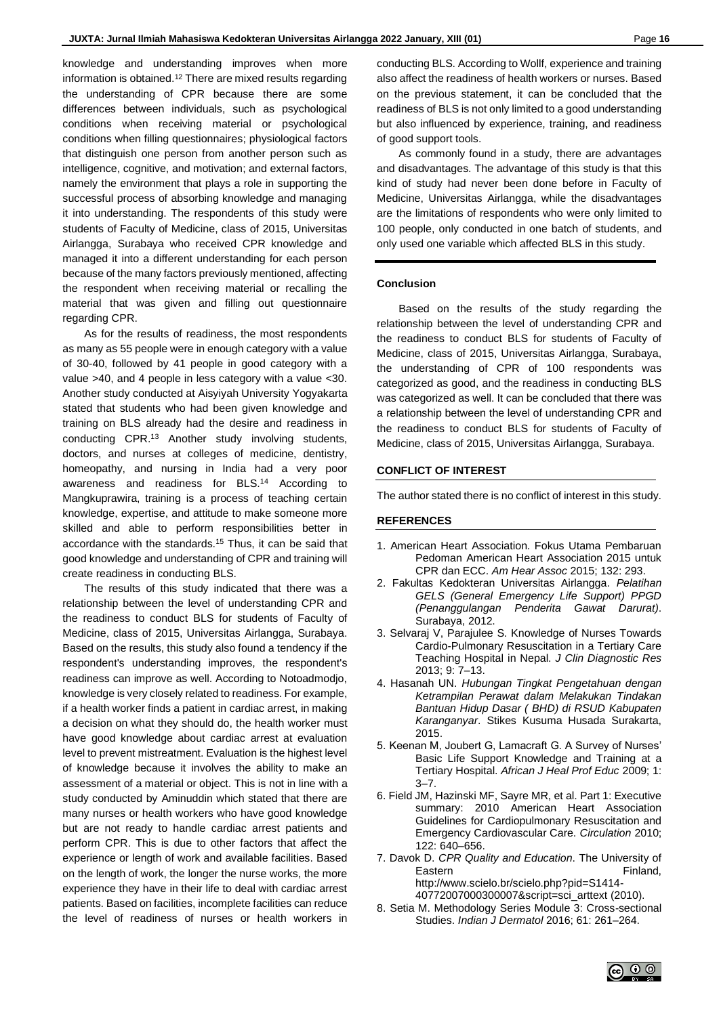knowledge and understanding improves when more information is obtained. <sup>12</sup> There are mixed results regarding the understanding of CPR because there are some differences between individuals, such as psychological conditions when receiving material or psychological conditions when filling questionnaires; physiological factors that distinguish one person from another person such as intelligence, cognitive, and motivation; and external factors, namely the environment that plays a role in supporting the successful process of absorbing knowledge and managing it into understanding. The respondents of this study were students of Faculty of Medicine, class of 2015, Universitas Airlangga, Surabaya who received CPR knowledge and managed it into a different understanding for each person because of the many factors previously mentioned, affecting the respondent when receiving material or recalling the material that was given and filling out questionnaire regarding CPR.

As for the results of readiness, the most respondents as many as 55 people were in enough category with a value of 30-40, followed by 41 people in good category with a value >40, and 4 people in less category with a value <30. Another study conducted at Aisyiyah University Yogyakarta stated that students who had been given knowledge and training on BLS already had the desire and readiness in conducting CPR. <sup>13</sup> Another study involving students, doctors, and nurses at colleges of medicine, dentistry, homeopathy, and nursing in India had a very poor awareness and readiness for BLS. <sup>14</sup> According to Mangkuprawira, training is a process of teaching certain knowledge, expertise, and attitude to make someone more skilled and able to perform responsibilities better in accordance with the standards.<sup>15</sup> Thus, it can be said that good knowledge and understanding of CPR and training will create readiness in conducting BLS.

The results of this study indicated that there was a relationship between the level of understanding CPR and the readiness to conduct BLS for students of Faculty of Medicine, class of 2015, Universitas Airlangga, Surabaya. Based on the results, this study also found a tendency if the respondent's understanding improves, the respondent's readiness can improve as well. According to Notoadmodjo, knowledge is very closely related to readiness. For example, if a health worker finds a patient in cardiac arrest, in making a decision on what they should do, the health worker must have good knowledge about cardiac arrest at evaluation level to prevent mistreatment. Evaluation is the highest level of knowledge because it involves the ability to make an assessment of a material or object. This is not in line with a study conducted by Aminuddin which stated that there are many nurses or health workers who have good knowledge but are not ready to handle cardiac arrest patients and perform CPR. This is due to other factors that affect the experience or length of work and available facilities. Based on the length of work, the longer the nurse works, the more experience they have in their life to deal with cardiac arrest patients. Based on facilities, incomplete facilities can reduce the level of readiness of nurses or health workers in

conducting BLS. According to Wollf, experience and training also affect the readiness of health workers or nurses. Based on the previous statement, it can be concluded that the readiness of BLS is not only limited to a good understanding but also influenced by experience, training, and readiness of good support tools.

As commonly found in a study, there are advantages and disadvantages. The advantage of this study is that this kind of study had never been done before in Faculty of Medicine, Universitas Airlangga, while the disadvantages are the limitations of respondents who were only limited to 100 people, only conducted in one batch of students, and only used one variable which affected BLS in this study.

## **Conclusion**

Based on the results of the study regarding the relationship between the level of understanding CPR and the readiness to conduct BLS for students of Faculty of Medicine, class of 2015, Universitas Airlangga, Surabaya, the understanding of CPR of 100 respondents was categorized as good, and the readiness in conducting BLS was categorized as well. It can be concluded that there was a relationship between the level of understanding CPR and the readiness to conduct BLS for students of Faculty of Medicine, class of 2015, Universitas Airlangga, Surabaya.

## **CONFLICT OF INTEREST**

The author stated there is no conflict of interest in this study.

## **REFERENCES**

- 1. American Heart Association. Fokus Utama Pembaruan Pedoman American Heart Association 2015 untuk CPR dan ECC. *Am Hear Assoc* 2015; 132: 293.
- 2. Fakultas Kedokteran Universitas Airlangga. *Pelatihan GELS (General Emergency Life Support) PPGD (Penanggulangan Penderita Gawat Darurat)*. Surabaya, 2012.
- 3. Selvaraj V, Parajulee S. Knowledge of Nurses Towards Cardio-Pulmonary Resuscitation in a Tertiary Care Teaching Hospital in Nepal. *J Clin Diagnostic Res* 2013; 9: 7–13.
- 4. Hasanah UN. *Hubungan Tingkat Pengetahuan dengan Ketrampilan Perawat dalam Melakukan Tindakan Bantuan Hidup Dasar ( BHD) di RSUD Kabupaten Karanganyar*. Stikes Kusuma Husada Surakarta, 2015.
- 5. Keenan M, Joubert G, Lamacraft G. A Survey of Nurses' Basic Life Support Knowledge and Training at a Tertiary Hospital. *African J Heal Prof Educ* 2009; 1:  $3 - 7$ .
- 6. Field JM, Hazinski MF, Sayre MR, et al. Part 1: Executive summary: 2010 American Heart Association Guidelines for Cardiopulmonary Resuscitation and Emergency Cardiovascular Care. *Circulation* 2010; 122: 640–656.
- 7. Davok D. *CPR Quality and Education*. The University of Eastern Finland, http://www.scielo.br/scielo.php?pid=S1414- 40772007000300007&script=sci\_arttext (2010).
- 8. Setia M. Methodology Series Module 3: Cross-sectional Studies. *Indian J Dermatol* 2016; 61: 261–264.